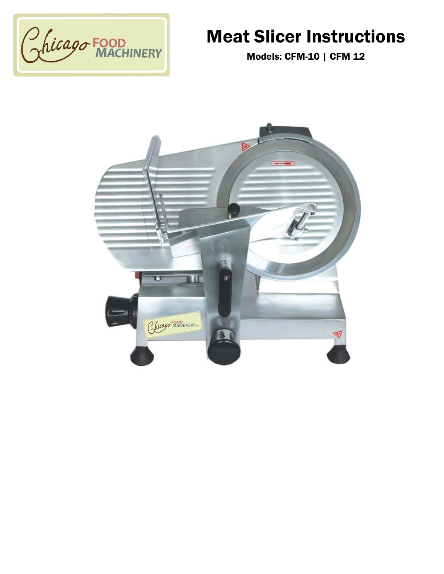

# Meat Slicer Instructions

Models: CFM-10 | CFM 12

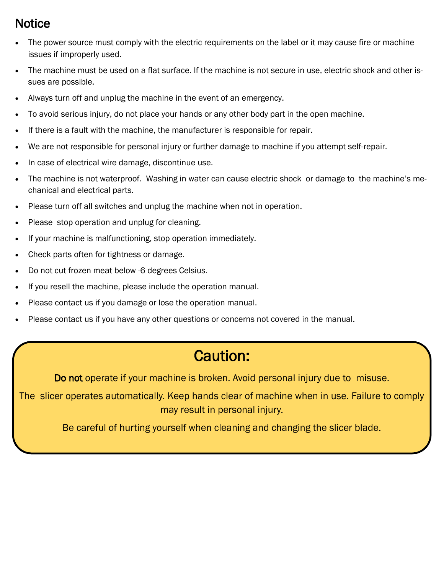### Notice

- The power source must comply with the electric requirements on the label or it may cause fire or machine issues if improperly used.
- The machine must be used on a flat surface. If the machine is not secure in use, electric shock and other issues are possible.
- Always turn off and unplug the machine in the event of an emergency.
- To avoid serious injury, do not place your hands or any other body part in the open machine.
- If there is a fault with the machine, the manufacturer is responsible for repair.
- We are not responsible for personal injury or further damage to machine if you attempt self-repair.
- In case of electrical wire damage, discontinue use.
- The machine is not waterproof. Washing in water can cause electric shock or damage to the machine's mechanical and electrical parts.
- Please turn off all switches and unplug the machine when not in operation.
- Please stop operation and unplug for cleaning.
- If your machine is malfunctioning, stop operation immediately.
- Check parts often for tightness or damage.
- Do not cut frozen meat below -6 degrees Celsius.
- If you resell the machine, please include the operation manual.
- Please contact us if you damage or lose the operation manual.
- Please contact us if you have any other questions or concerns not covered in the manual.

# Caution:

Do not operate if your machine is broken. Avoid personal injury due to misuse.

The slicer operates automatically. Keep hands clear of machine when in use. Failure to comply may result in personal injury.

Be careful of hurting yourself when cleaning and changing the slicer blade.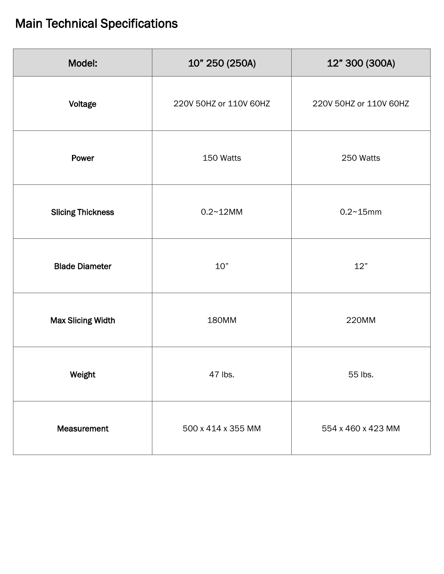## Main Technical Specifications

| Model:                   | 10" 250 (250A)         | 12" 300 (300A)         |
|--------------------------|------------------------|------------------------|
| Voltage                  | 220V 50HZ or 110V 60HZ | 220V 50HZ or 110V 60HZ |
| Power                    | 150 Watts              | 250 Watts              |
| <b>Slicing Thickness</b> | $0.2 - 12MM$           | $0.2 - 15$ mm          |
| <b>Blade Diameter</b>    | 10"                    | 12"                    |
| <b>Max Slicing Width</b> | 180MM                  | 220MM                  |
| Weight                   | 47 lbs.                | 55 lbs.                |
| Measurement              | 500 x 414 x 355 MM     | 554 x 460 x 423 MM     |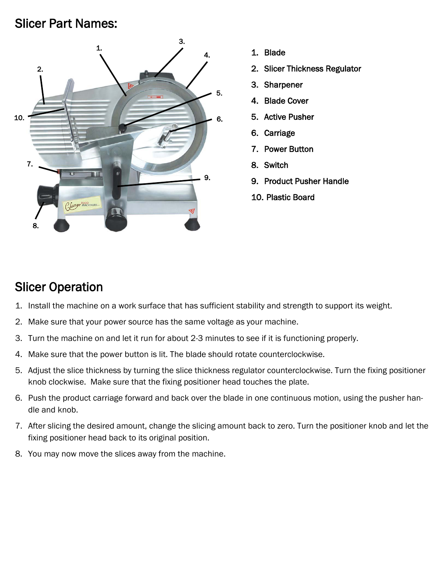### Slicer Part Names:



- 1. Blade
- 2. Slicer Thickness Regulator
- 3. Sharpener
- 4. Blade Cover
- 5. Active Pusher
- 6. Carriage
- 7. Power Button
- 8. Switch
- 9. Product Pusher Handle
- 10. Plastic Board

### Slicer Operation

- 1. Install the machine on a work surface that has sufficient stability and strength to support its weight.
- 2. Make sure that your power source has the same voltage as your machine.
- 3. Turn the machine on and let it run for about 2-3 minutes to see if it is functioning properly.
- 4. Make sure that the power button is lit. The blade should rotate counterclockwise.
- 5. Adjust the slice thickness by turning the slice thickness regulator counterclockwise. Turn the fixing positioner knob clockwise. Make sure that the fixing positioner head touches the plate.
- 6. Push the product carriage forward and back over the blade in one continuous motion, using the pusher handle and knob.
- 7. After slicing the desired amount, change the slicing amount back to zero. Turn the positioner knob and let the fixing positioner head back to its original position.
- 8. You may now move the slices away from the machine.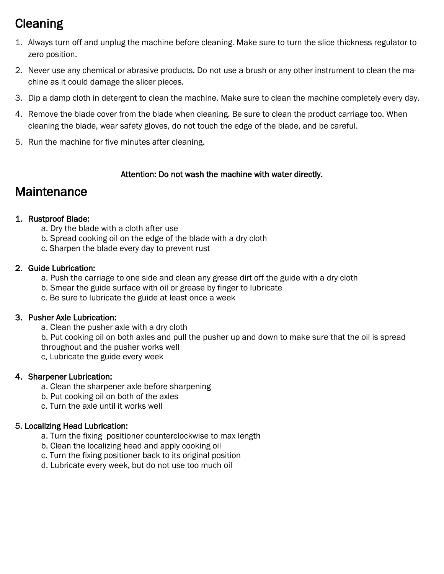## **Cleaning**

- 1. Always turn off and unplug the machine before cleaning. Make sure to turn the slice thickness regulator to zero position.
- 2. Never use any chemical or abrasive products. Do not use a brush or any other instrument to clean the machine as it could damage the slicer pieces.
- 3. Dip a damp cloth in detergent to clean the machine. Make sure to clean the machine completely every day.
- 4. Remove the blade cover from the blade when cleaning. Be sure to clean the product carriage too. When cleaning the blade, wear safety gloves, do not touch the edge of the blade, and be careful.
- 5. Run the machine for five minutes after cleaning.

### Attention: Do not wash the machine with water directly.

### **Maintenance**

### 1. Rustproof Blade:

- a. Dry the blade with a cloth after use
- b. Spread cooking oil on the edge of the blade with a dry cloth
- c. Sharpen the blade every day to prevent rust

### 2. Guide Lubrication:

- a. Push the carriage to one side and clean any grease dirt off the guide with a dry cloth
- b. Smear the guide surface with oil or grease by finger to lubricate
- c. Be sure to lubricate the guide at least once a week

### 3. Pusher Axle Lubrication:

- a. Clean the pusher axle with a dry cloth
- b. Put cooking oil on both axles and pull the pusher up and down to make sure that the oil is spread throughout and the pusher works well
- c. Lubricate the guide every week

### 4. Sharpener Lubrication:

- a. Clean the sharpener axle before sharpening
- b. Put cooking oil on both of the axles
- c. Turn the axle until it works well

### 5. Localizing Head Lubrication:

- a. Turn the fixing positioner counterclockwise to max length
- b. Clean the localizing head and apply cooking oil
- c. Turn the fixing positioner back to its original position
- d. Lubricate every week, but do not use too much oil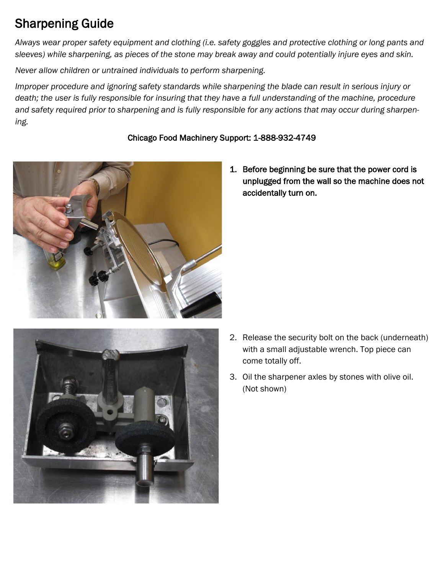## Sharpening Guide

*Always wear proper safety equipment and clothing (i.e. safety goggles and protective clothing or long pants and sleeves) while sharpening, as pieces of the stone may break away and could potentially injure eyes and skin.*

*Never allow children or untrained individuals to perform sharpening.*

*Improper procedure and ignoring safety standards while sharpening the blade can result in serious injury or death; the user is fully responsible for insuring that they have a full understanding of the machine, procedure and safety required prior to sharpening and is fully responsible for any actions that may occur during sharpening.*

### Chicago Food Machinery Support: 1-888-932-4749



1. Before beginning be sure that the power cord is unplugged from the wall so the machine does not accidentally turn on.



- 2. Release the security bolt on the back (underneath) with a small adjustable wrench. Top piece can come totally off.
- 3. Oil the sharpener axles by stones with olive oil. (Not shown)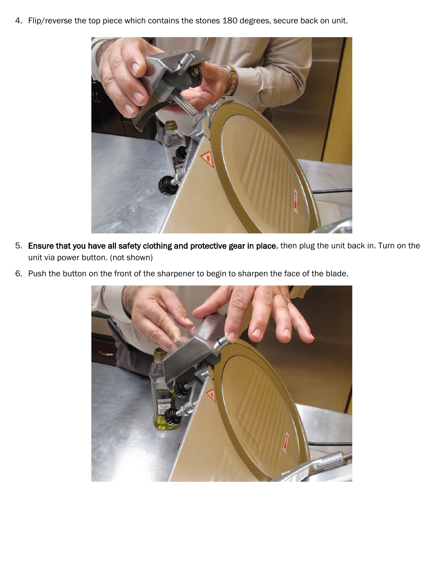4. Flip/reverse the top piece which contains the stones 180 degrees, secure back on unit.



- 5. Ensure that you have all safety clothing and protective gear in place, then plug the unit back in. Turn on the unit via power button. (not shown)
- 6. Push the button on the front of the sharpener to begin to sharpen the face of the blade.